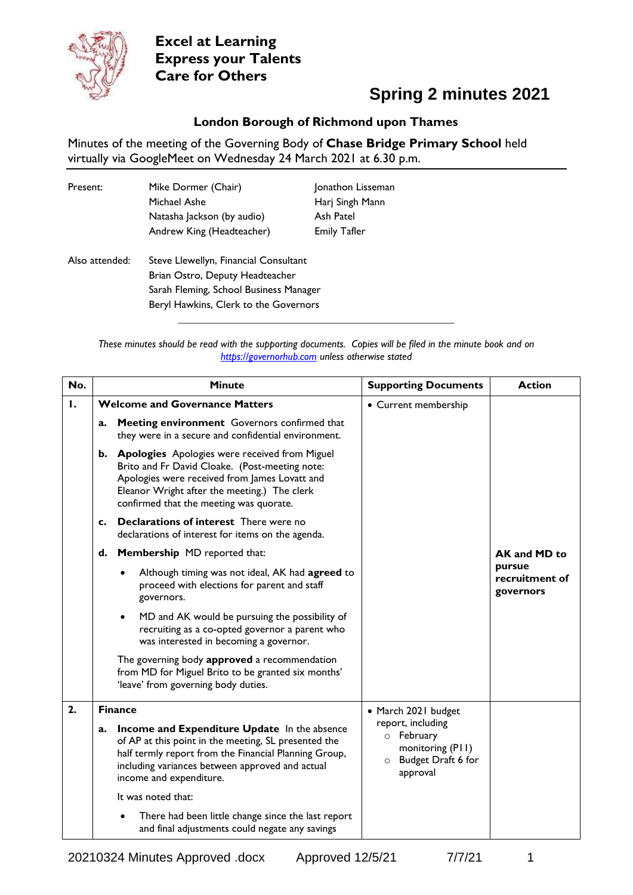

### **Spring 2 minutes 2021**

#### **London Borough of Richmond upon Thames**

Minutes of the meeting of the Governing Body of **Chase Bridge Primary School** held virtually via GoogleMeet on Wednesday 24 March 2021 at 6.30 p.m.

| Present:       | Mike Dormer (Chair)<br>Michael Ashe<br>Natasha Jackson (by audio)<br>Andrew King (Headteacher)                                                              | Jonathon Lisseman<br>Harj Singh Mann<br>Ash Patel<br><b>Emily Tafler</b> |
|----------------|-------------------------------------------------------------------------------------------------------------------------------------------------------------|--------------------------------------------------------------------------|
| Also attended: | Steve Llewellyn, Financial Consultant<br>Brian Ostro, Deputy Headteacher<br>Sarah Fleming, School Business Manager<br>Beryl Hawkins, Clerk to the Governors |                                                                          |

*These minutes should be read with the supporting documents. Copies will be filed in the minute book and on [https://governorhub.com](https://governorhub.com/) unless otherwise stated*

**\_\_\_\_\_\_\_\_\_\_\_\_\_\_\_\_\_\_\_\_\_\_\_\_\_\_\_\_\_\_\_\_\_\_\_\_\_\_\_\_\_\_\_\_\_\_\_\_\_\_\_\_**

| No. |    | <b>Minute</b>                                                                                                                                                                                                                                         | <b>Supporting Documents</b>                                                                               | <b>Action</b>                         |
|-----|----|-------------------------------------------------------------------------------------------------------------------------------------------------------------------------------------------------------------------------------------------------------|-----------------------------------------------------------------------------------------------------------|---------------------------------------|
| 1.  |    | <b>Welcome and Governance Matters</b>                                                                                                                                                                                                                 | • Current membership                                                                                      |                                       |
|     | a. | Meeting environment Governors confirmed that<br>they were in a secure and confidential environment.                                                                                                                                                   |                                                                                                           |                                       |
|     |    | <b>b.</b> Apologies Apologies were received from Miguel<br>Brito and Fr David Cloake. (Post-meeting note:<br>Apologies were received from James Lovatt and<br>Eleanor Wright after the meeting.) The clerk<br>confirmed that the meeting was quorate. |                                                                                                           |                                       |
|     | c. | Declarations of interest There were no<br>declarations of interest for items on the agenda.                                                                                                                                                           |                                                                                                           |                                       |
|     | d. | <b>Membership</b> MD reported that:                                                                                                                                                                                                                   |                                                                                                           | AK and MD to                          |
|     |    | Although timing was not ideal, AK had agreed to<br>proceed with elections for parent and staff<br>governors.                                                                                                                                          |                                                                                                           | pursue<br>recruitment of<br>governors |
|     |    | MD and AK would be pursuing the possibility of<br>recruiting as a co-opted governor a parent who<br>was interested in becoming a governor.                                                                                                            |                                                                                                           |                                       |
|     |    | The governing body approved a recommendation<br>from MD for Miguel Brito to be granted six months'<br>'leave' from governing body duties.                                                                                                             |                                                                                                           |                                       |
| 2.  |    | <b>Finance</b>                                                                                                                                                                                                                                        | • March 2021 budget                                                                                       |                                       |
|     | a. | Income and Expenditure Update In the absence<br>of AP at this point in the meeting, SL presented the<br>half termly report from the Financial Planning Group,<br>including variances between approved and actual<br>income and expenditure.           | report, including<br>February<br>$\circ$<br>monitoring (PII)<br>Budget Draft 6 for<br>$\circ$<br>approval |                                       |
|     |    | It was noted that:                                                                                                                                                                                                                                    |                                                                                                           |                                       |
|     |    | There had been little change since the last report<br>and final adjustments could negate any savings                                                                                                                                                  |                                                                                                           |                                       |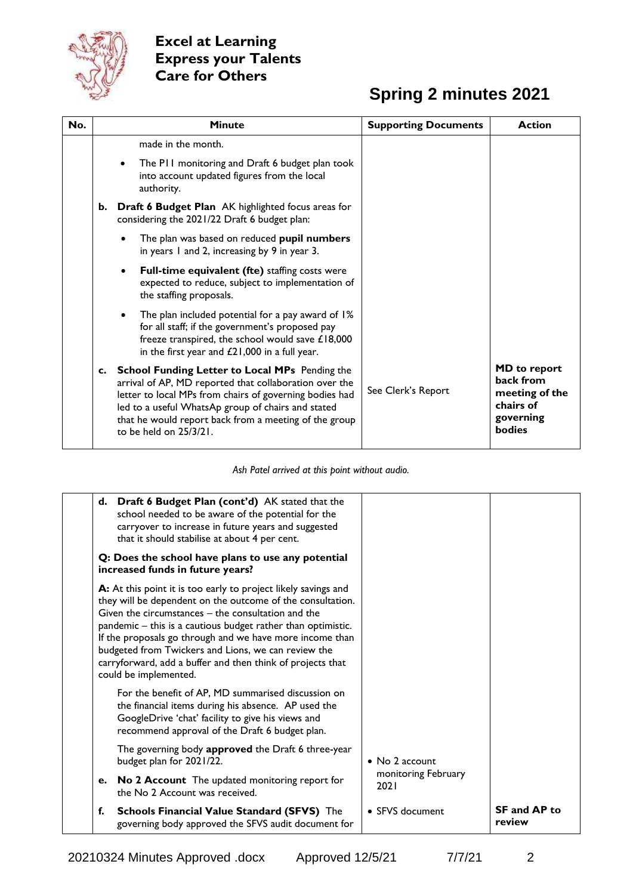

## **Spring 2 minutes 2021**

| No. |    | <b>Minute</b>                                                                                                                                                                                                                                                                                                   | <b>Supporting Documents</b> | <b>Action</b>                                                                                 |
|-----|----|-----------------------------------------------------------------------------------------------------------------------------------------------------------------------------------------------------------------------------------------------------------------------------------------------------------------|-----------------------------|-----------------------------------------------------------------------------------------------|
|     |    | made in the month.                                                                                                                                                                                                                                                                                              |                             |                                                                                               |
|     |    | The PII monitoring and Draft 6 budget plan took<br>into account updated figures from the local<br>authority.                                                                                                                                                                                                    |                             |                                                                                               |
|     | b. | <b>Draft 6 Budget Plan</b> AK highlighted focus areas for<br>considering the 2021/22 Draft 6 budget plan:                                                                                                                                                                                                       |                             |                                                                                               |
|     |    | The plan was based on reduced pupil numbers<br>in years 1 and 2, increasing by 9 in year 3.                                                                                                                                                                                                                     |                             |                                                                                               |
|     |    | Full-time equivalent (fte) staffing costs were<br>$\bullet$<br>expected to reduce, subject to implementation of<br>the staffing proposals.                                                                                                                                                                      |                             |                                                                                               |
|     |    | The plan included potential for a pay award of 1%<br>for all staff; if the government's proposed pay<br>freeze transpired, the school would save £18,000<br>in the first year and $£21,000$ in a full year.                                                                                                     |                             |                                                                                               |
|     |    | c. School Funding Letter to Local MPs Pending the<br>arrival of AP, MD reported that collaboration over the<br>letter to local MPs from chairs of governing bodies had<br>led to a useful WhatsAp group of chairs and stated<br>that he would report back from a meeting of the group<br>to be held on 25/3/21. | See Clerk's Report          | <b>MD</b> to report<br>back from<br>meeting of the<br>chairs of<br>governing<br><b>bodies</b> |

*Ash Patel arrived at this point without audio.*

|    | d. Draft 6 Budget Plan (cont'd) AK stated that the<br>school needed to be aware of the potential for the<br>carryover to increase in future years and suggested<br>that it should stabilise at about 4 per cent.                                                                                                                                                                                                                                             |                             |                               |
|----|--------------------------------------------------------------------------------------------------------------------------------------------------------------------------------------------------------------------------------------------------------------------------------------------------------------------------------------------------------------------------------------------------------------------------------------------------------------|-----------------------------|-------------------------------|
|    | Q: Does the school have plans to use any potential<br>increased funds in future years?                                                                                                                                                                                                                                                                                                                                                                       |                             |                               |
|    | A: At this point it is too early to project likely savings and<br>they will be dependent on the outcome of the consultation.<br>Given the circumstances - the consultation and the<br>pandemic – this is a cautious budget rather than optimistic.<br>If the proposals go through and we have more income than<br>budgeted from Twickers and Lions, we can review the<br>carryforward, add a buffer and then think of projects that<br>could be implemented. |                             |                               |
|    | For the benefit of AP, MD summarised discussion on<br>the financial items during his absence. AP used the<br>GoogleDrive 'chat' facility to give his views and<br>recommend approval of the Draft 6 budget plan.                                                                                                                                                                                                                                             |                             |                               |
|    | The governing body approved the Draft 6 three-year<br>budget plan for 2021/22.                                                                                                                                                                                                                                                                                                                                                                               | $\bullet$ No 2 account      |                               |
| е. | <b>No 2 Account</b> The updated monitoring report for<br>the No 2 Account was received.                                                                                                                                                                                                                                                                                                                                                                      | monitoring February<br>2021 |                               |
| f. | <b>Schools Financial Value Standard (SFVS)</b> The<br>governing body approved the SFVS audit document for                                                                                                                                                                                                                                                                                                                                                    | • SFVS document             | <b>SF and AP to</b><br>review |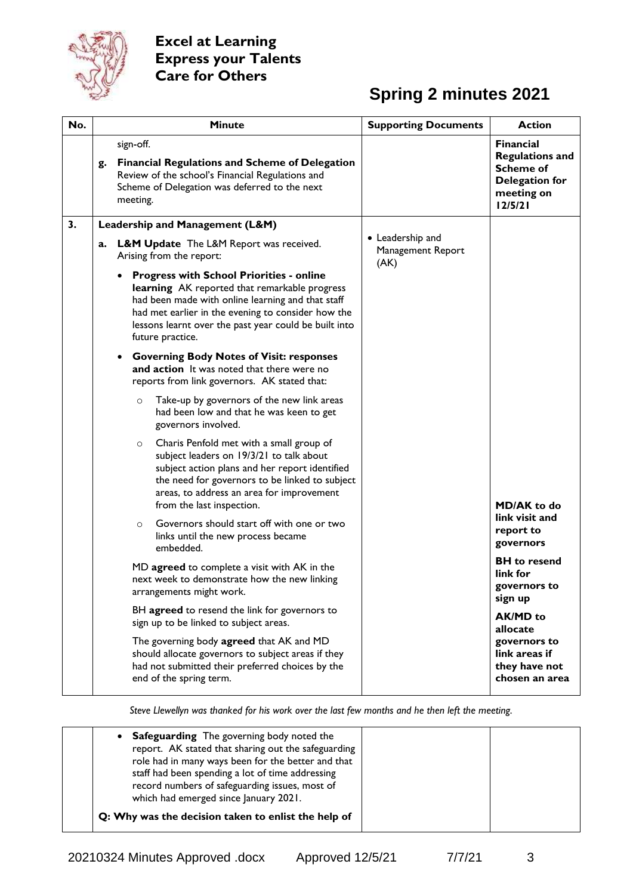

### **Spring 2 minutes 2021**

| No. | <b>Minute</b>                                                                                                                                                                                                                                                                                         | <b>Supporting Documents</b> | <b>Action</b>                                                                                             |
|-----|-------------------------------------------------------------------------------------------------------------------------------------------------------------------------------------------------------------------------------------------------------------------------------------------------------|-----------------------------|-----------------------------------------------------------------------------------------------------------|
|     | sign-off.<br><b>Financial Regulations and Scheme of Delegation</b><br>g.<br>Review of the school's Financial Regulations and<br>Scheme of Delegation was deferred to the next<br>meeting.                                                                                                             |                             | <b>Financial</b><br><b>Regulations and</b><br><b>Scheme of</b><br>Delegation for<br>meeting on<br>12/5/21 |
| 3.  | Leadership and Management (L&M)                                                                                                                                                                                                                                                                       | • Leadership and            |                                                                                                           |
|     | <b>L&amp;M Update</b> The L&M Report was received.<br>a.<br>Arising from the report:                                                                                                                                                                                                                  | Management Report<br>(AK)   |                                                                                                           |
|     | <b>Progress with School Priorities - online</b><br>$\bullet$<br>learning AK reported that remarkable progress<br>had been made with online learning and that staff<br>had met earlier in the evening to consider how the<br>lessons learnt over the past year could be built into<br>future practice. |                             |                                                                                                           |
|     | <b>Governing Body Notes of Visit: responses</b><br>and action It was noted that there were no<br>reports from link governors. AK stated that:                                                                                                                                                         |                             |                                                                                                           |
|     | Take-up by governors of the new link areas<br>$\circ$<br>had been low and that he was keen to get<br>governors involved.                                                                                                                                                                              |                             |                                                                                                           |
|     | Charis Penfold met with a small group of<br>$\circ$<br>subject leaders on 19/3/21 to talk about<br>subject action plans and her report identified<br>the need for governors to be linked to subject<br>areas, to address an area for improvement<br>from the last inspection.                         |                             | <b>MD/AK</b> to do                                                                                        |
|     | Governors should start off with one or two<br>$\circ$<br>links until the new process became<br>embedded.                                                                                                                                                                                              |                             | link visit and<br>report to<br>governors                                                                  |
|     | MD agreed to complete a visit with AK in the<br>next week to demonstrate how the new linking<br>arrangements might work.                                                                                                                                                                              |                             | <b>BH</b> to resend<br>link for<br>governors to<br>sign up                                                |
|     | BH agreed to resend the link for governors to<br>sign up to be linked to subject areas.                                                                                                                                                                                                               |                             | <b>AK/MD</b> to<br>allocate                                                                               |
|     | The governing body agreed that AK and MD<br>should allocate governors to subject areas if they<br>had not submitted their preferred choices by the<br>end of the spring term.                                                                                                                         |                             | governors to<br>link areas if<br>they have not<br>chosen an area                                          |

*Steve Llewellyn was thanked for his work over the last few months and he then left the meeting.*

| • Safeguarding The governing body noted the<br>report. AK stated that sharing out the safeguarding<br>role had in many ways been for the better and that<br>staff had been spending a lot of time addressing<br>record numbers of safeguarding issues, most of<br>which had emerged since January 2021. |  |
|---------------------------------------------------------------------------------------------------------------------------------------------------------------------------------------------------------------------------------------------------------------------------------------------------------|--|
| Q: Why was the decision taken to enlist the help of                                                                                                                                                                                                                                                     |  |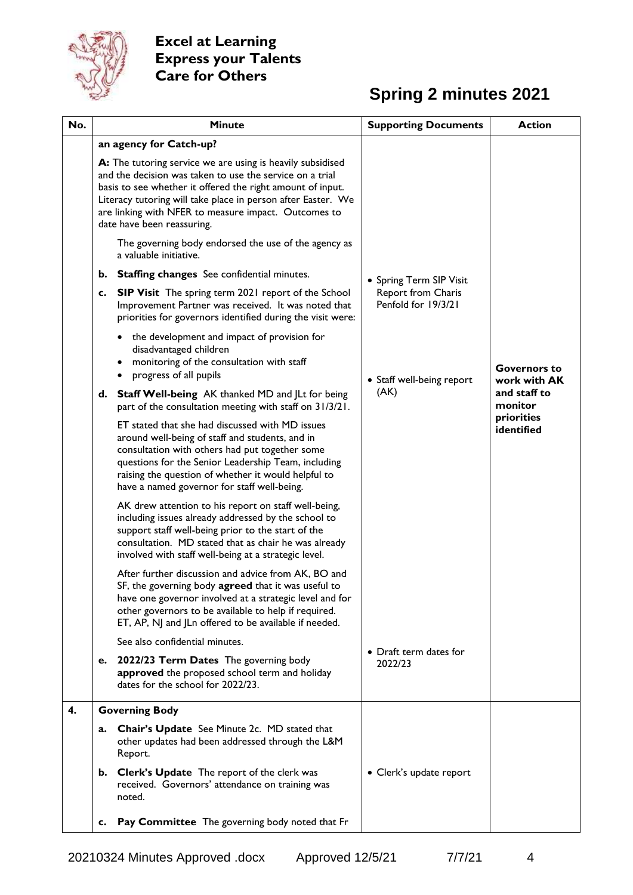

## **Spring 2 minutes 2021**

| No. |    | <b>Minute</b>                                                                                                                                                                                                                                                                                                                                                                                      | <b>Supporting Documents</b>               | <b>Action</b>                       |
|-----|----|----------------------------------------------------------------------------------------------------------------------------------------------------------------------------------------------------------------------------------------------------------------------------------------------------------------------------------------------------------------------------------------------------|-------------------------------------------|-------------------------------------|
|     |    | an agency for Catch-up?                                                                                                                                                                                                                                                                                                                                                                            |                                           |                                     |
|     |    | A: The tutoring service we are using is heavily subsidised<br>and the decision was taken to use the service on a trial<br>basis to see whether it offered the right amount of input.<br>Literacy tutoring will take place in person after Easter. We<br>are linking with NFER to measure impact. Outcomes to<br>date have been reassuring.<br>The governing body endorsed the use of the agency as |                                           |                                     |
|     |    | a valuable initiative.                                                                                                                                                                                                                                                                                                                                                                             |                                           |                                     |
|     |    | b. Staffing changes See confidential minutes.                                                                                                                                                                                                                                                                                                                                                      | • Spring Term SIP Visit                   |                                     |
|     | c. | <b>SIP Visit</b> The spring term 2021 report of the School<br>Improvement Partner was received. It was noted that<br>priorities for governors identified during the visit were:                                                                                                                                                                                                                    | Report from Charis<br>Penfold for 19/3/21 |                                     |
|     |    | the development and impact of provision for<br>disadvantaged children<br>monitoring of the consultation with staff<br>٠<br>progress of all pupils<br>٠                                                                                                                                                                                                                                             | • Staff well-being report                 | <b>Governors to</b><br>work with AK |
|     |    | d. Staff Well-being AK thanked MD and JLt for being<br>part of the consultation meeting with staff on 31/3/21.                                                                                                                                                                                                                                                                                     | (AK)                                      | and staff to<br>monitor             |
|     |    | ET stated that she had discussed with MD issues<br>around well-being of staff and students, and in<br>consultation with others had put together some<br>questions for the Senior Leadership Team, including<br>raising the question of whether it would helpful to<br>have a named governor for staff well-being.                                                                                  |                                           | priorities<br>identified            |
|     |    | AK drew attention to his report on staff well-being,<br>including issues already addressed by the school to<br>support staff well-being prior to the start of the<br>consultation. MD stated that as chair he was already<br>involved with staff well-being at a strategic level.                                                                                                                  |                                           |                                     |
|     |    | After further discussion and advice from AK, BO and<br>SF, the governing body agreed that it was useful to<br>have one governor involved at a strategic level and for<br>other governors to be available to help if required.<br>ET, AP, NJ and JLn offered to be available if needed.                                                                                                             |                                           |                                     |
|     |    | See also confidential minutes.                                                                                                                                                                                                                                                                                                                                                                     | • Draft term dates for                    |                                     |
|     | е. | 2022/23 Term Dates The governing body<br>approved the proposed school term and holiday<br>dates for the school for 2022/23.                                                                                                                                                                                                                                                                        | 2022/23                                   |                                     |
| 4.  |    | <b>Governing Body</b>                                                                                                                                                                                                                                                                                                                                                                              |                                           |                                     |
|     | a. | Chair's Update See Minute 2c. MD stated that<br>other updates had been addressed through the L&M<br>Report.                                                                                                                                                                                                                                                                                        |                                           |                                     |
|     |    | b. Clerk's Update The report of the clerk was<br>received. Governors' attendance on training was<br>noted.                                                                                                                                                                                                                                                                                         | • Clerk's update report                   |                                     |
|     | c. | Pay Committee The governing body noted that Fr                                                                                                                                                                                                                                                                                                                                                     |                                           |                                     |